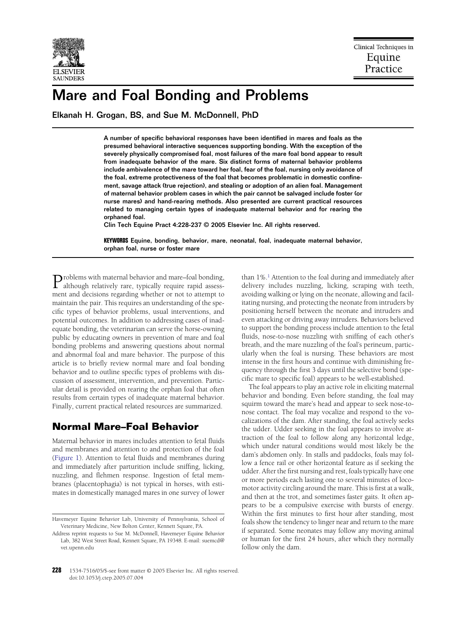

# Mare and Foal Bonding and Problems

Elkanah H. Grogan, BS, and Sue M. McDonnell, PhD

A number of specific behavioral responses have been identified in mares and foals as the presumed behavioral interactive sequences supporting bonding. With the exception of the severely physically compromised foal, most failures of the mare foal bond appear to result from inadequate behavior of the mare. Six distinct forms of maternal behavior problems include ambivalence of the mare toward her foal, fear of the foal, nursing only avoidance of the foal, extreme protectiveness of the foal that becomes problematic in domestic confinement, savage attack (true rejection), and stealing or adoption of an alien foal. Management of maternal behavior problem cases in which the pair cannot be salvaged include foster (or nurse mares) and hand-rearing methods. Also presented are current practical resources related to managing certain types of inadequate maternal behavior and for rearing the orphaned foal.

Clin Tech Equine Pract 4:228-237 © 2005 Elsevier Inc. All rights reserved.

**KEYWORDS** Equine, bonding, behavior, mare, neonatal, foal, inadequate maternal behavior, orphan foal, nurse or foster mare

Problems with maternal behavior and mare–foal bonding, although relatively rare, typically require rapid assessment and decisions regarding whether or not to attempt to maintain the pair. This requires an understanding of the specific types of behavior problems, usual interventions, and potential outcomes. In addition to addressing cases of inadequate bonding, the veterinarian can serve the horse-owning public by educating owners in prevention of mare and foal bonding problems and answering questions about normal and abnormal foal and mare behavior. The purpose of this article is to briefly review normal mare and foal bonding behavior and to outline specific types of problems with discussion of assessment, intervention, and prevention. Particular detail is provided on rearing the orphan foal that often results from certain types of inadequate maternal behavior. Finally, current practical related resources are summarized.

# **Normal Mare–Foal Behavior**

Maternal behavior in mares includes attention to fetal fluids and membranes and attention to and protection of the foal [\(Figure](#page-1-0) 1). Attention to fetal fluids and membranes during and immediately after parturition include sniffing, licking, nuzzling, and flehmen response. Ingestion of fetal membranes (placentophagia) is not typical in horses, with estimates in domestically managed mares in one survey of lower

than 1%[.1](#page-9-0) Attention to the foal during and immediately after delivery includes nuzzling, licking, scraping with teeth, avoiding walking or lying on the neonate, allowing and facilitating nursing, and protecting the neonate from intruders by positioning herself between the neonate and intruders and even attacking or driving away intruders. Behaviors believed to support the bonding process include attention to the fetal fluids, nose-to-nose nuzzling with sniffing of each other's breath, and the mare nuzzling of the foal's perineum, particularly when the foal is nursing. These behaviors are most intense in the first hours and continue with diminishing frequency through the first 3 days until the selective bond (specific mare to specific foal) appears to be well-established.

The foal appears to play an active role in eliciting maternal behavior and bonding. Even before standing, the foal may squirm toward the mare's head and appear to seek nose-tonose contact. The foal may vocalize and respond to the vocalizations of the dam. After standing, the foal actively seeks the udder. Udder seeking in the foal appears to involve attraction of the foal to follow along any horizontal ledge, which under natural conditions would most likely be the dam's abdomen only. In stalls and paddocks, foals may follow a fence rail or other horizontal feature as if seeking the udder. After the first nursing and rest, foals typically have one or more periods each lasting one to several minutes of locomotor activity circling around the mare. This is first at a walk, and then at the trot, and sometimes faster gaits. It often appears to be a compulsive exercise with bursts of energy. Within the first minutes to first hour after standing, most foals show the tendency to linger near and return to the mare if separated. Some neonates may follow any moving animal or human for the first 24 hours, after which they normally follow only the dam.

Havemeyer Equine Behavior Lab, University of Pennsylvania, School of Veterinary Medicine, New Bolton Center, Kennett Square, PA.

Address reprint requests to Sue M. McDonnell, Havemeyer Equine Behavior Lab, 382 West Street Road, Kennett Square, PA 19348. E-mail: suemcd@ vet.upenn.edu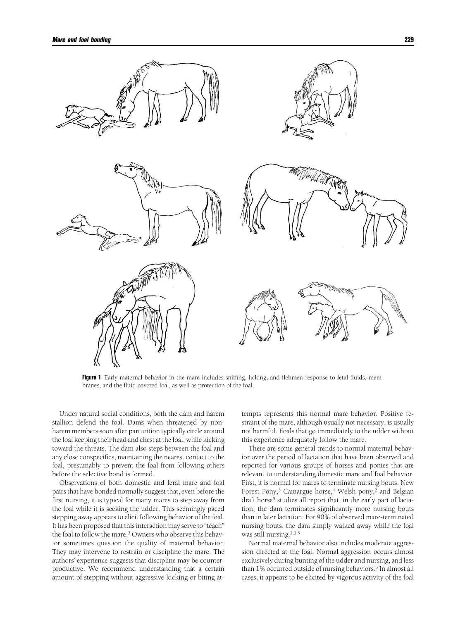<span id="page-1-0"></span>

**Figure 1** Early maternal behavior in the mare includes sniffing, licking, and flehmen response to fetal fluids, membranes, and the fluid covered foal, as well as protection of the foal.

Under natural social conditions, both the dam and harem stallion defend the foal. Dams when threatened by nonharem members soon after parturition typically circle around the foal keeping their head and chest at the foal, while kicking toward the threats. The dam also steps between the foal and any close conspecifics, maintaining the nearest contact to the foal, presumably to prevent the foal from following others before the selective bond is formed.

Observations of both domestic and feral mare and foal pairs that have bonded normally suggest that, even before the first nursing, it is typical for many mares to step away from the foal while it is seeking the udder. This seemingly paced stepping away appears to elicit following behavior of the foal. It has been proposed that this interaction may serve to "teach" the foal to follow the mare.<sup>2</sup> Owners who observe this behavior sometimes question the quality of maternal behavior. They may intervene to restrain or discipline the mare. The authors' experience suggests that discipline may be counterproductive. We recommend understanding that a certain amount of stepping without aggressive kicking or biting attempts represents this normal mare behavior. Positive restraint of the mare, although usually not necessary, is usually not harmful. Foals that go immediately to the udder without this experience adequately follow the mare.

There are some general trends to normal maternal behavior over the period of lactation that have been observed and reported for various groups of horses and ponies that are relevant to understanding domestic mare and foal behavior. First, it is normal for mares to terminate nursing bouts. New Forest Pony,<sup>3</sup> Camargue horse,<sup>4</sup> Welsh pony,<sup>2</sup> and Belgian draft horse<sup>5</sup> studies all report that, in the early part of lactation, the dam terminates significantly more nursing bouts than in later lactation. For 90% of observed mare-terminated nursing bouts, the dam simply walked away while the foal was still nursing.<sup>2,3,5</sup>

Normal maternal behavior also includes moderate aggression directed at the foal. Normal aggression occurs almost exclusively during bunting of the udder and nursing, and less than 1% occurred outside of nursing behaviors.<sup>5</sup> In almost all cases, it appears to be elicited by vigorous activity of the foal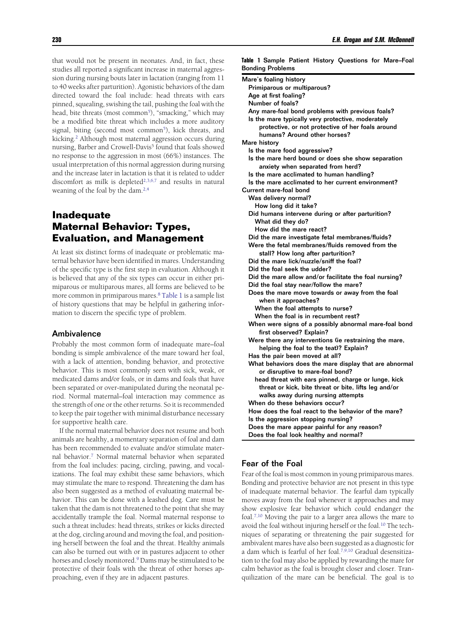that would not be present in neonates. And, in fact, these studies all reported a significant increase in maternal aggression during nursing bouts later in lactation (ranging from 11 to 40 weeks after parturition). Agonistic behaviors of the dam directed toward the foal include: head threats with ears pinned, squealing, swishing the tail, pushing the foal with the head, bite threats (most common<sup>5</sup>), "smacking," which may be a modified bite threat which includes a more auditory signal, biting (second most common<sup>5</sup>), kick threats, and kicking[.2](#page-9-0) Although most maternal aggression occurs during nursing, Barber and Crowell-Davis<sup>5</sup> found that foals showed no response to the aggression in most (66%) instances. The usual interpretation of this normal aggression during nursing and the increase later in lactation is that it is related to udder discomfort as milk is depleted<sup>2,3,6,7</sup> and results in natural weaning of the foal by the dam[.2,4](#page-9-0)

# **Inadequate Maternal Behavior: Types, Evaluation, and Management**

At least six distinct forms of inadequate or problematic maternal behavior have been identified in mares. Understanding of the specific type is the first step in evaluation. Although it is believed that any of the six types can occur in either primiparous or multiparous mares, all forms are believed to be more common in primiparous mares[.8](#page-9-0) Table 1 is a sample list of history questions that may be helpful in gathering information to discern the specific type of problem.

#### **Ambivalence**

Probably the most common form of inadequate mare–foal bonding is simple ambivalence of the mare toward her foal, with a lack of attention, bonding behavior, and protective behavior. This is most commonly seen with sick, weak, or medicated dams and/or foals, or in dams and foals that have been separated or over-manipulated during the neonatal period. Normal maternal–foal interaction may commence as the strength of one or the other returns. So it is recommended to keep the pair together with minimal disturbance necessary for supportive health care.

If the normal maternal behavior does not resume and both animals are healthy, a momentary separation of foal and dam has been recommended to evaluate and/or stimulate maternal behavior[.7](#page-9-0) Normal maternal behavior when separated from the foal includes: pacing, circling, pawing, and vocalizations. The foal may exhibit these same behaviors, which may stimulate the mare to respond. Threatening the dam has also been suggested as a method of evaluating maternal behavior. This can be done with a leashed dog. Care must be taken that the dam is not threatened to the point that she may accidentally trample the foal. Normal maternal response to such a threat includes: head threats, strikes or kicks directed at the dog, circling around and moving the foal, and positioning herself between the foal and the threat. Healthy animals can also be turned out with or in pastures adjacent to other horses and closely monitored[.9](#page-9-0) Dams may be stimulated to be protective of their foals with the threat of other horses approaching, even if they are in adjacent pastures.

**Table 1** Sample Patient History Questions for Mare–Foal Bonding Problems

| Mare's foaling history                                 |
|--------------------------------------------------------|
| Primiparous or multiparous?                            |
| Age at first foaling?                                  |
| Number of foals?                                       |
| Any mare-foal bond problems with previous foals?       |
| Is the mare typically very protective, moderately      |
| protective, or not protective of her foals around      |
| humans? Around other horses?                           |
| Mare history                                           |
| Is the mare food aggressive?                           |
| Is the mare herd bound or does she show separation     |
| anxiety when separated from herd?                      |
| Is the mare acclimated to human handling?              |
| Is the mare acclimated to her current environment?     |
| Current mare-foal bond                                 |
| Was delivery normal?                                   |
| How long did it take?                                  |
| Did humans intervene during or after parturition?      |
| What did they do?                                      |
| How did the mare react?                                |
| Did the mare investigate fetal membranes/fluids?       |
| Were the fetal membranes/fluids removed from the       |
| stall? How long after parturition?                     |
| Did the mare lick/nuzzle/sniff the foal?               |
| Did the foal seek the udder?                           |
| Did the mare allow and/or facilitate the foal nursing? |
| Did the foal stay near/follow the mare?                |
| Does the mare move towards or away from the foal       |
| when it approaches?                                    |
| When the foal attempts to nurse?                       |
| When the foal is in recumbent rest?                    |
| When were signs of a possibly abnormal mare-foal bond  |
| first observed? Explain?                               |
| Were there any interventions (ie restraining the mare, |
| helping the foal to the teat)? Explain?                |
| Has the pair been moved at all?                        |
| What behaviors does the mare display that are abnormal |
| or disruptive to mare-foal bond?                       |
| head threat with ears pinned, charge or lunge, kick    |
| threat or kick, bite threat or bite, lifts leg and/or  |
| walks away during nursing attempts                     |
| When do these behaviors occur?                         |
| How does the foal react to the behavior of the mare?   |
| Is the aggression stopping nursing?                    |
| Does the mare appear painful for any reason?           |
| Does the foal look healthy and normal?                 |

# Fear of the Foal

Fear of the foal is most common in young primiparous mares. Bonding and protective behavior are not present in this type of inadequate maternal behavior. The fearful dam typically moves away from the foal whenever it approaches and may show explosive fear behavior which could endanger the foal.<sup>7,10</sup> Moving the pair to a larger area allows the mare to avoid the foal without injuring herself or the foal[.10](#page-9-0) The techniques of separating or threatening the pair suggested for ambivalent mares have also been suggested as a diagnostic for a dam which is fearful of her foal.<sup>7,9,10</sup> Gradual desensitization to the foal may also be applied by rewarding the mare for calm behavior as the foal is brought closer and closer. Tranquilization of the mare can be beneficial. The goal is to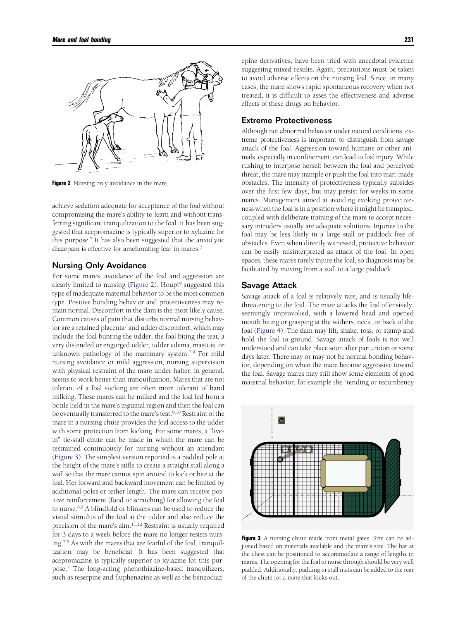<span id="page-3-0"></span>

**Figure 2** Nursing only avoidance in the mare.

achieve sedation adequate for acceptance of the foal without compromising the mare's ability to learn and without transferring significant tranquilization to the foal. It has been suggested that acepromazine is typically superior to xylazine for this purpose[.7](#page-9-0) It has also been suggested that the anxiolytic diazepam is effective for ameliorating fear in mares.<sup>7</sup>

#### Nursing Only Avoidance

For some mares, avoidance of the foal and aggression are clearly limited to nursing (Figure 2). Houpt<sup>9</sup> suggested this type of inadequate maternal behavior to be the most common type. Positive bonding behavior and protectiveness may remain normal. Discomfort in the dam is the most likely cause. Common causes of pain that disturbs normal nursing behavior are a retained placenta<sup>7</sup> and udder discomfort, which may include the foal bunting the udder, the foal biting the teat, a very distended or engorged udder, udder edema, mastitis, or unknown pathology of the mammary system[.7,9](#page-9-0) For mild nursing avoidance or mild aggression, nursing supervision with physical restraint of the mare under halter, in general, seems to work better than tranquilization. Mares that are not tolerant of a foal sucking are often more tolerant of hand milking. These mares can be milked and the foal fed from a bottle held in the mare's inguinal region and then the foal can be eventually transferred to the mare's teat.<sup>9,10</sup> Restraint of the mare in a nursing chute provides the foal access to the udder with some protection from kicking. For some mares, a "livein" tie-stall chute can be made in which the mare can be restrained continuously for nursing without an attendant (Figure 3). The simplest version reported is a padded pole at the height of the mare's stifle to create a straight stall along a wall so that the mare cannot spin around to kick or bite at the foal. Her forward and backward movement can be limited by additional poles or tether length. The mare can receive positive reinforcement (food or scratching) for allowing the foal to nurse[.8,9](#page-9-0) A blindfold or blinkers can be used to reduce the visual stimulus of the foal at the udder and also reduce the precision of the mare's aim[.11,12](#page-9-0) Restraint is usually required for 3 days to a week before the mare no longer resists nursing[.7-9](#page-9-0) As with the mares that are fearful of the foal, tranquilization may be beneficial. It has been suggested that acepromazine is typically superior to xylazine for this purpose[.7](#page-9-0) The long-acting phenothiazine-based tranquilizers, such as reserpine and fluphenazine as well as the benzodiazepine derivatives, have been tried with anecdotal evidence suggesting mixed results. Again, precautions must be taken to avoid adverse effects on the nursing foal. Since, in many cases, the mare shows rapid spontaneous recovery when not treated, it is difficult to asses the effectiveness and adverse effects of these drugs on behavior.

## Extreme Protectiveness

Although not abnormal behavior under natural conditions, extreme protectiveness is important to distinguish from savage attack of the foal. Aggression toward humans or other animals, especially in confinement, can lead to foal injury. While rushing to interpose herself between the foal and perceived threat, the mare may trample or push the foal into man-made obstacles. The intensity of protectiveness typically subsides over the first few days, but may persist for weeks in some mares. Management aimed at avoiding evoking protectiveness when the foal is in a position where it might be trampled, coupled with deliberate training of the mare to accept necessary intruders usually are adequate solutions. Injuries to the foal may be less likely in a large stall or paddock free of obstacles. Even when directly witnessed, protective behavior can be easily misinterpreted as attack of the foal. In open spaces, these mares rarely injure the foal, so diagnosis may be facilitated by moving from a stall to a large paddock.

#### Savage Attack

Savage attack of a foal is relatively rare, and is usually lifethreatening to the foal. The mare attacks the foal offensively, seemingly unprovoked, with a lowered head and opened mouth biting or grasping at the withers, neck, or back of the foal [\(Figure](#page-4-0) 4). The dam may lift, shake, toss, or stamp and hold the foal to ground. Savage attack of foals is not well understood and can take place soon after parturition or some days later. There may or may not be normal bonding behavior, depending on when the mare became aggressive toward the foal. Savage mares may still show some elements of good maternal behavior, for example the "tending or recumbency



**Figure 3** A nursing chute made from metal gates. Size can be adjusted based on materials available and the mare's size. The bar at the chest can be positioned to accommodate a range of lengths in mares. The opening for the foal to nurse through should be very well padded. Additionally, padding or stall mats can be added to the rear of the chute for a mare that kicks out.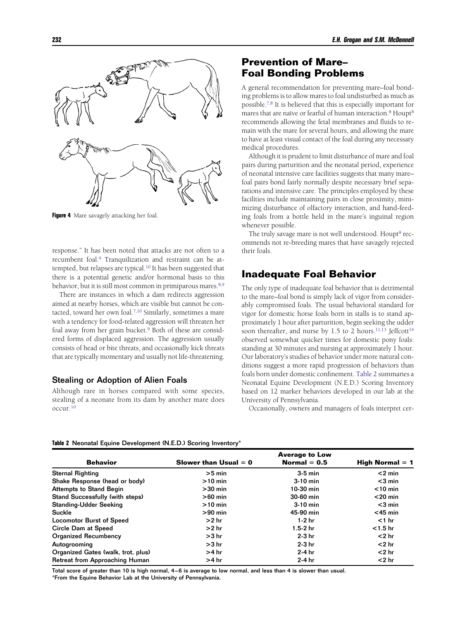<span id="page-4-0"></span>

**Figure 4** Mare savagely attacking her foal.

response." It has been noted that attacks are not often to a recumbent foal[.9](#page-9-0) Tranquilization and restraint can be attempted, but relapses are typical[.10](#page-9-0) It has been suggested that there is a potential genetic and/or hormonal basis to this behavior, but it is still most common in primiparous mares.<sup>[8,9](#page-9-0)</sup>

There are instances in which a dam redirects aggression aimed at nearby horses, which are visible but cannot be contacted, toward her own foal. $7,10$  Similarly, sometimes a mare with a tendency for food-related aggression will threaten her foal away from her grain bucket.<sup>9</sup> Both of these are considered forms of displaced aggression. The aggression usually consists of head or bite threats, and occasionally kick threats that are typically momentary and usually not life-threatening.

### Stealing or Adoption of Alien Foals

Although rare in horses compared with some species, stealing of a neonate from its dam by another mare does occur[.10](#page-9-0)

# **Prevention of Mare– Foal Bonding Problems**

A general recommendation for preventing mare–foal bonding problems is to allow mares to foal undisturbed as much as possible[.7,8](#page-9-0) It is believed that this is especially important for mares that are naïve or fearful of human interaction.<sup>8</sup> Houpt<sup>8</sup> recommends allowing the fetal membranes and fluids to remain with the mare for several hours, and allowing the mare to have at least visual contact of the foal during any necessary medical procedures.

Although it is prudent to limit disturbance of mare and foal pairs during parturition and the neonatal period, experience of neonatal intensive care facilities suggests that many mare– foal pairs bond fairly normally despite necessary brief separations and intensive care. The principles employed by these facilities include maintaining pairs in close proximity, minimizing disturbance of olfactory interaction, and hand-feeding foals from a bottle held in the mare's inguinal region whenever possible.

The truly savage mare is not well understood. Houpt<sup>[8](#page-9-0)</sup> recommends not re-breeding mares that have savagely rejected their foals.

# **Inadequate Foal Behavior**

The only type of inadequate foal behavior that is detrimental to the mare–foal bond is simply lack of vigor from considerably compromised foals. The usual behavioral standard for vigor for domestic horse foals born in stalls is to stand approximately 1 hour after parturition, begin seeking the udder soon thereafter, and nurse by 1.5 to 2 hours.<sup>11,13</sup> Jeffcott<sup>14</sup> observed somewhat quicker times for domestic pony foals: standing at 30 minutes and nursing at approximately 1 hour. Our laboratory's studies of behavior under more natural conditions suggest a more rapid progression of behaviors than foals born under domestic confinement. Table 2 summaries a Neonatal Equine Development (N.E.D.) Scoring Inventory based on 12 marker behaviors developed in our lab at the University of Pennsylvania.

Occasionally, owners and managers of foals interpret cer-

|                                    | <b>Average to Low</b>   |                |                   |  |
|------------------------------------|-------------------------|----------------|-------------------|--|
| <b>Behavior</b>                    | Slower than Usual $= 0$ | Normal $= 0.5$ | High Normal $= 1$ |  |
| Sternal Righting                   | $>5$ min                | $3-5$ min      | $<$ 2 min         |  |
| Shake Response (head or body)      | $>10$ min               | $3-10$ min     | $<$ 3 min         |  |
| Attempts to Stand Begin            | $>30$ min               | 10-30 min      | $<$ 10 min        |  |
| Stand Successfully (with steps)    | $>60$ min               | 30-60 min      | $<$ 20 min        |  |
| Standing-Udder Seeking             | $>10$ min               | $3-10$ min     | $<$ 3 min         |  |
| Suckle                             | $>90$ min               | 45-90 min      | $<$ 45 min        |  |
| <b>Locomotor Burst of Speed</b>    | $>2$ hr                 | $1-2$ hr       | $<$ 1 hr          |  |
| Circle Dam at Speed                | $>2$ hr                 | $1.5-2hr$      | $<$ 1.5 hr        |  |
| <b>Organized Recumbency</b>        | $>3$ hr                 | $2-3$ hr       | $<$ 2 hr          |  |
| Autogrooming                       | $>3$ hr                 | $2-3$ hr       | $<$ 2 hr          |  |
| Organized Gates (walk, trot, plus) | $>4$ hr                 | $2-4$ hr       | $<$ 2 hr          |  |
| Retreat from Approaching Human     | >4 hr                   | $2-4$ hr       | $<$ 2 hr          |  |

#### **Table 2** Neonatal Equine Development (N.E.D.) Scoring Inventory\*

Total score of greater than 10 is high normal, 4–6 is average to low normal, and less than 4 is slower than usual. \*From the Equine Behavior Lab at the University of Pennsylvania.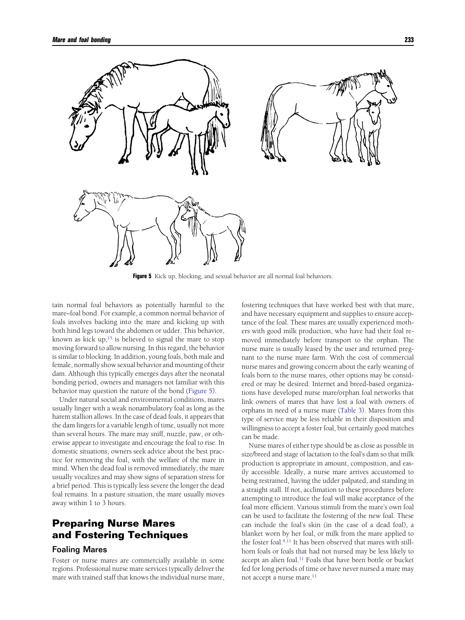

Figure 5 Kick up, blocking, and sexual behavior are all normal foal behaviors.

tain normal foal behaviors as potentially harmful to the mare–foal bond. For example, a common normal behavior of foals involves backing into the mare and kicking up with both hind legs toward the abdomen or udder. This behavior, known as kick up[,15](#page-9-0) is believed to signal the mare to stop moving forward to allow nursing. In this regard, the behavior is similar to blocking. In addition, young foals, both male and female, normally show sexual behavior and mounting of their dam. Although this typically emerges days after the neonatal bonding period, owners and managers not familiar with this behavior may question the nature of the bond (Figure 5).

Under natural social and environmental conditions, mares usually linger with a weak nonambulatory foal as long as the harem stallion allows. In the case of dead foals, it appears that the dam lingers for a variable length of time, usually not more than several hours. The mare may sniff, nuzzle, paw, or otherwise appear to investigate and encourage the foal to rise. In domestic situations, owners seek advice about the best practice for removing the foal, with the welfare of the mare in mind. When the dead foal is removed immediately, the mare usually vocalizes and may show signs of separation stress for a brief period. This is typically less severe the longer the dead foal remains. In a pasture situation, the mare usually moves away within 1 to 3 hours.

# **Preparing Nurse Mares and Fostering Techniques**

### Foaling Mares

Foster or nurse mares are commercially available in some regions. Professional nurse mare services typically deliver the mare with trained staff that knows the individual nurse mare, fostering techniques that have worked best with that mare, and have necessary equipment and supplies to ensure acceptance of the foal. These mares are usually experienced mothers with good milk production, who have had their foal removed immediately before transport to the orphan. The nurse mare is usually leased by the user and returned pregnant to the nurse mare farm. With the cost of commercial nurse mares and growing concern about the early weaning of foals born to the nurse mares, other options may be considered or may be desired. Internet and breed-based organizations have developed nurse mare/orphan foal networks that link owners of mares that have lost a foal with owners of orphans in need of a nurse mare [\(Table](#page-6-0) 3). Mares from this type of service may be less reliable in their disposition and willingness to accept a foster foal, but certainly good matches can be made.

Nurse mares of either type should be as close as possible in size/breed and stage of lactation to the foal's dam so that milk production is appropriate in amount, composition, and easily accessible. Ideally, a nurse mare arrives accustomed to being restrained, having the udder palpated, and standing in a straight stall. If not, acclimation to these procedures before attempting to introduce the foal will make acceptance of the foal more efficient. Various stimuli from the mare's own foal can be used to facilitate the fostering of the new foal. These can include the foal's skin (in the case of a dead foal), a blanket worn by her foal, or milk from the mare applied to the foster foal.<sup>9,11</sup> It has been observed that mares with stillborn foals or foals that had not nursed may be less likely to accept an alien foal.<sup>11</sup> Foals that have been bottle or bucket fed for long periods of time or have never nursed a mare may not accept a nurse mare.<sup>11</sup>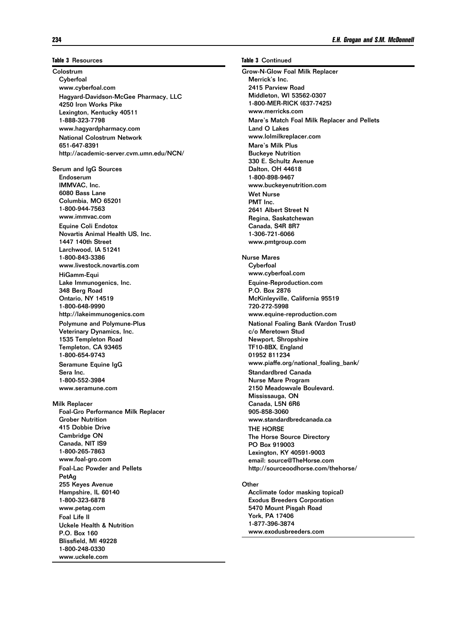<span id="page-6-0"></span>**Table 3** Resources

Colostrum Cyberfoal www.cyberfoal.com Hagyard-Davidson-McGee Pharmacy, LLC 4250 Iron Works Pike Lexington, Kentucky 40511 1-888-323-7798 www.hagyardpharmacy.com National Colostrum Network 651-647-8391 http://academic-server.cvm.umn.edu/NCN/ Serum and IgG Sources Endoserum IMMVAC, Inc. 6080 Bass Lane Columbia, MO 65201 1-800-944-7563 www.immvac.com Equine Coli Endotox Novartis Animal Health US, Inc. 1447 140th Street Larchwood, IA 51241 1-800-843-3386 www.livestock.novartis.com HiGamm-Equi Lake Immunogenics, Inc. 348 Berg Road Ontario, NY 14519 1-800-648-9990 http://lakeimmunogenics.com Polymune and Polymune-Plus Veterinary Dynamics, Inc. 1535 Templeton Road Templeton, CA 93465 1-800-654-9743 Seramune Equine IgG Sera Inc. 1-800-552-3984 www.seramune.com Milk Replacer Foal-Gro Performance Milk Replacer Grober Nutrition 415 Dobbie Drive Cambridge ON Canada, NIT IS9 1-800-265-7863 www.foal-gro.com Foal-Lac Powder and Pellets PetAg 255 Keyes Avenue Hampshire, IL 60140 1-800-323-6878 www.petag.com

Foal Life II Uckele Health & Nutrition P.O. Box 160 Blissfield, MI 49228 1-800-248-0330 www.uckele.com

#### **Table 3** Continued

Grow-N-Glow Foal Milk Replacer Merrick's Inc. 2415 Parview Road Middleton, WI 53562-0307 1-800-MER-RICK (637-7425) www.merricks.com Mare's Match Foal Milk Replacer and Pellets Land O Lakes www.lolmilkreplacer.com Mare's Milk Plus Buckeye Nutrition 330 E. Schultz Avenue Dalton, OH 44618 1-800-898-9467 www.buckeyenutrition.com Wet Nurse PMT Inc. 2641 Albert Street N Regina, Saskatchewan Canada, S4R 8R7 1-306-721-6066 www.pmtgroup.com Nurse Mares Cyberfoal www.cyberfoal.com Equine-Reproduction.com P.O. Box 2876 McKinleyville, California 95519 720-272-5998 www.equine-reproduction.com National Foaling Bank (Vardon Trust) c/o Meretown Stud Newport, Shropshire TF10-8BX, England 01952 811234 www.piaffe.org/national\_foaling\_bank/ Standardbred Canada Nurse Mare Program 2150 Meadowvale Boulevard. Mississauga, ON Canada, L5N 6R6 905-858-3060 www.standardbredcanada.ca THE HORSE The Horse Source Directory PO Box 919003 Lexington, KY 40591-9003 email: source@TheHorse.com http://sourceoodhorse.com/thehorse/

#### **Other**

Acclimate (odor masking topical) Exodus Breeders Corporation 5470 Mount Pisgah Road York, PA 17406 1-877-396-3874 www.exodusbreeders.com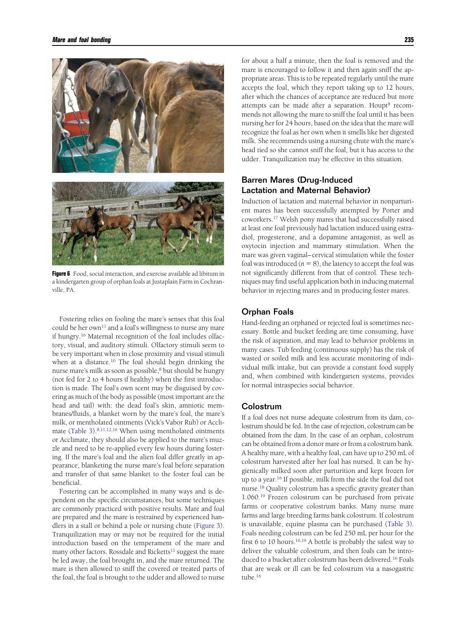<span id="page-7-0"></span>

**Figure 6** Food, social interaction, and exercise available ad libitum in a kindergarten group of orphan foals at Justaplain Farm in Cochranville, PA.

Fostering relies on fooling the mare's senses that this foal could be her own<sup>11</sup> and a foal's willingness to nurse any mare if hungry.[16](#page-9-0) Maternal recognition of the foal includes olfactory, visual, and auditory stimuli. Olfactory stimuli seem to be very important when in close proximity and visual stimuli when at a distance.<sup>10</sup> The foal should begin drinking the nurse mare's milk as soon as possible,<sup>8</sup> but should be hungry (not fed for 2 to 4 hours if healthy) when the first introduction is made. The foal's own scent may be disguised by covering as much of the body as possible (most important are the head and tail) with: the dead foal's skin, amniotic membranes/fluids, a blanket worn by the mare's foal, the mare's milk, or mentholated ointments (Vick's Vabor Rub) or Acclimate [\(Table](#page-6-0) 3)[.8,11,12,16](#page-9-0) When using mentholated ointments or Acclimate, they should also be applied to the mare's muzzle and need to be re-applied every few hours during fostering. If the mare's foal and the alien foal differ greatly in appearance, blanketing the nurse mare's foal before separation and transfer of that same blanket to the foster foal can be beneficial.

Fostering can be accomplished in many ways and is dependent on the specific circumstances, but some techniques are commonly practiced with positive results. Mare and foal are prepared and the mare is restrained by experienced handlers in a stall or behind a pole or nursing chute [\(Figure](#page-3-0) 3). Tranquilization may or may not be required for the initial introduction based on the temperament of the mare and many other factors. Rossdale and Ricketts<sup>11</sup> suggest the mare be led away, the foal brought in, and the mare returned. The mare is then allowed to sniff the covered or treated parts of the foal, the foal is brought to the udder and allowed to nurse

for about a half a minute, then the foal is removed and the mare is encouraged to follow it and then again sniff the appropriate areas. This is to be repeated regularly until the mare accepts the foal, which they report taking up to 12 hours, after which the chances of acceptance are reduced but more attempts can be made after a separation. Houpt $8$  recommends not allowing the mare to sniff the foal until it has been nursing her for 24 hours, based on the idea that the mare will recognize the foal as her own when it smells like her digested milk. She recommends using a nursing chute with the mare's head tied so she cannot sniff the foal, but it has access to the udder. Tranquilization may be effective in this situation.

## Barren Mares (Drug-Induced Lactation and Maternal Behavior)

Induction of lactation and maternal behavior in nonparturient mares has been successfully attempted by Porter and coworkers[.17](#page-9-0) Welsh pony mares that had successfully raised at least one foal previously had lactation induced using estradiol, progesterone, and a dopamine antagonist, as well as oxytocin injection and mammary stimulation. When the mare was given vaginal–cervical stimulation while the foster foal was introduced  $(n = 8)$ , the latency to accept the foal was not significantly different from that of control. These techniques may find useful application both in inducing maternal behavior in rejecting mares and in producing foster mares.

### Orphan Foals

Hand-feeding an orphaned or rejected foal is sometimes necessary. Bottle and bucket feeding are time consuming, have the risk of aspiration, and may lead to behavior problems in many cases. Tub feeding (continuous supply) has the risk of wasted or soiled milk and less accurate monitoring of individual milk intake, but can provide a constant food supply and, when combined with kindergarten systems, provides for normal intraspecies social behavior.

### Colostrum

If a foal does not nurse adequate colostrum from its dam, colostrum should be fed. In the case of rejection, colostrum can be obtained from the dam. In the case of an orphan, colostrum can be obtained from a donor mare or from a colostrum bank. A healthy mare, with a healthy foal, can have up to 250 mL of colostrum harvested after her foal has nursed. It can be hygienically milked soon after parturition and kept frozen for up to a year.<sup>16</sup> If possible, milk from the side the foal did not nurse[.18](#page-9-0) Quality colostrum has a specific gravity greater than 1.060[.19](#page-9-0) Frozen colostrum can be purchased from private farms or cooperative colostrum banks. Many nurse mare farms and large breeding farms bank colostrum. If colostrum is unavailable, equine plasma can be purchased [\(Table](#page-6-0) 3). Foals needing colostrum can be fed 250 mL per hour for the first 6 to 10 hours.<sup>16,19</sup> A bottle is probably the safest way to deliver the valuable colostrum, and then foals can be introduced to a bucket after colostrum has been delivered. [16](#page-9-0) Foals that are weak or ill can be fed colostrum via a nasogastric tube[.16](#page-9-0)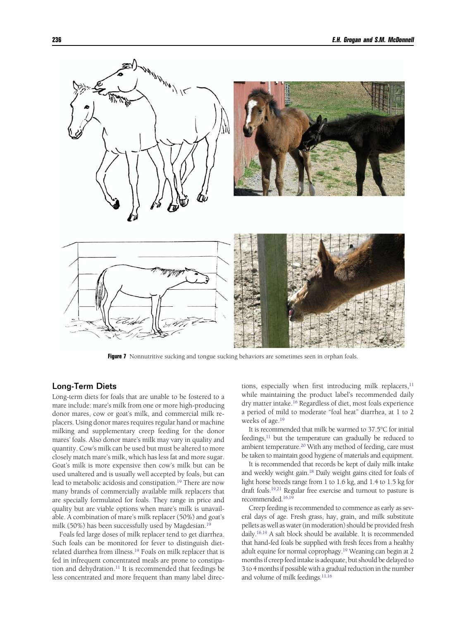<span id="page-8-0"></span>

Figure 7 Nonnutritive sucking and tongue sucking behaviors are sometimes seen in orphan foals

#### Long-Term Diets

Long-term diets for foals that are unable to be fostered to a mare include: mare's milk from one or more high-producing donor mares, cow or goat's milk, and commercial milk replacers. Using donor mares requires regular hand or machine milking and supplementary creep feeding for the donor mares' foals. Also donor mare's milk may vary in quality and quantity. Cow's milk can be used but must be altered to more closely match mare's milk, which has less fat and more sugar. Goat's milk is more expensive then cow's milk but can be used unaltered and is usually well accepted by foals, but can lead to metabolic acidosis and constipation[.19](#page-9-0) There are now many brands of commercially available milk replacers that are specially formulated for foals. They range in price and quality but are viable options when mare's milk is unavailable. A combination of mare's milk replacer (50%) and goat's milk (50%) has been successfully used by Magdesian.<sup>19</sup>

Foals fed large doses of milk replacer tend to get diarrhea. Such foals can be monitored for fever to distinguish dietrelated diarrhea from illness[.19](#page-9-0) Foals on milk replacer that is fed in infrequent concentrated meals are prone to constipation and dehydration.<sup>11</sup> It is recommended that feedings be less concentrated and more frequent than many label directions, especially when first introducing milk replacers, $11$ while maintaining the product label's recommended daily dry matter intake[.16](#page-9-0) Regardless of diet, most foals experience a period of mild to moderate "foal heat" diarrhea, at 1 to 2 weeks of age[.19](#page-9-0)

It is recommended that milk be warmed to 37.5°C for initial  $f$ eedings,<sup>11</sup> but the temperature can gradually be reduced to ambient temperature.<sup>20</sup> With any method of feeding, care must be taken to maintain good hygiene of materials and equipment.

It is recommended that records be kept of daily milk intake and weekly weight gain[.18](#page-9-0) Daily weight gains cited for foals of light horse breeds range from 1 to 1.6 kg, and 1.4 to 1.5 kg for draft foals[.19,21](#page-9-0) Regular free exercise and turnout to pasture is recommended[.16,19](#page-9-0)

Creep feeding is recommended to commence as early as several days of age. Fresh grass, hay, grain, and milk substitute pellets as well as water (in moderation) should be provided fresh daily[.16,19](#page-9-0) A salt block should be available. It is recommended that hand-fed foals be supplied with fresh feces from a healthy adult equine for normal coprophagy.<sup>19</sup> Weaning can begin at 2 months if creep feed intake is adequate, but should be delayed to 3 to 4 months if possible with a gradual reduction in the number and volume of milk feedings.<sup>11,16</sup>